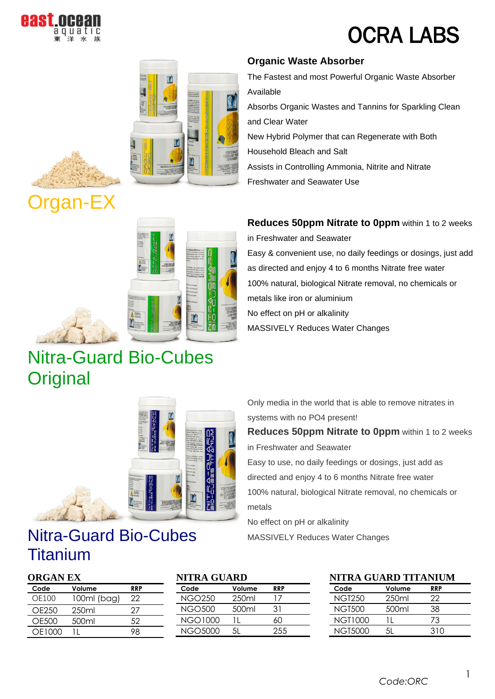

# OCRA LABS





# rgan-EX



### Nitra-Guard Bio-Cubes **Original**



### Nitra-Guard Bio-Cubes Titanium

### **ORGAN EX**

| Code   | Volume            | RRP  |
|--------|-------------------|------|
| OF100  | 100ml (bag)       | 22   |
| OF250  | 250 <sub>ml</sub> | ') / |
| OE500  | 500ml             | 52   |
| OF1000 |                   |      |

#### **NITRA GUARD Code Volume RRP** NGO250 250ml 17 NGO500 500ml 31

| \ITRA GUARD    |        |              |  |
|----------------|--------|--------------|--|
| Code           | Volume | <b>RRP</b>   |  |
| <b>NGO250</b>  | 250ml  | $\mathsf{L}$ |  |
| <b>NGO500</b>  | 500ml  | 31           |  |
| <b>NGO1000</b> | Ħ      | 60           |  |
| <b>NGO5000</b> |        | 255          |  |

### **NITRA GUARD TITANIUM**

| Code    | Volume | <b>RRP</b> |  |
|---------|--------|------------|--|
| NGT250  | 250ml  | 22         |  |
| NGT500  | .500ml | 38.        |  |
| NGT1000 |        | 73         |  |
| NGT5000 | 51     | 310        |  |

### **Organic Waste Absorber**

The Fastest and most Powerful Organic Waste Absorber Available • Absorbs Organic Wastes and Tannins for Sparkling Clean and Clear Water • New Hybrid Polymer that can Regenerate with Both Household Bleach and Salt Assists in Controlling Ammonia, Nitrite and Nitrate • Freshwater and Seawater Use

#### **Reduces 50ppm Nitrate to 0ppm within 1 to 2 weeks**

in Freshwater and Seawater • Easy & convenient use, no daily feedings or dosings, just add as directed and enjoy 4 to 6 months Nitrate free water • 100% natural, biological Nitrate removal, no chemicals or metals like iron or aluminium • No effect on pH or alkalinity • MASSIVELY Reduces Water Changes

Only media in the world that is able to remove nitrates in systems with no PO4 present!

**Reduces 50ppm Nitrate to 0ppm** within 1 to 2 weeks in Freshwater and Seawater

Easy to use, no daily feedings or dosings, just add as directed and enjoy 4 to 6 months Nitrate free water 100% natural, biological Nitrate removal, no chemicals or metals

No effect on pH or alkalinity

MASSIVELY Reduces Water Changes